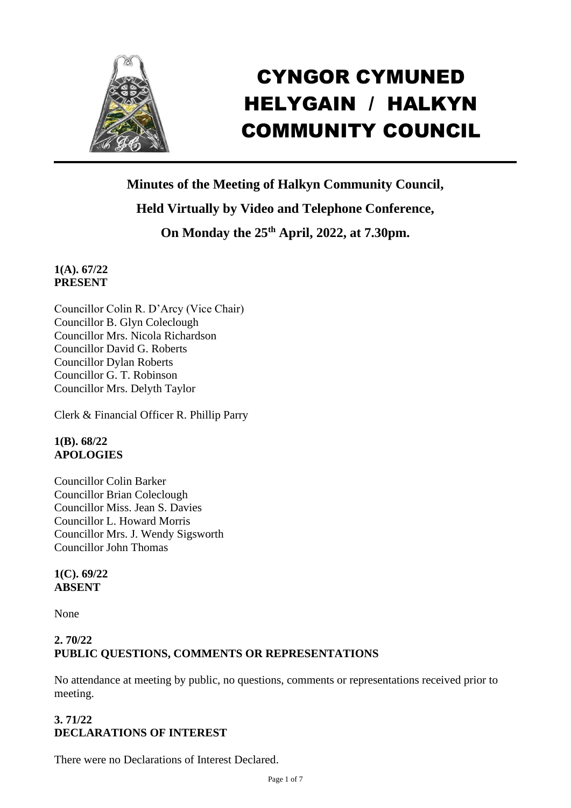

# CYNGOR CYMUNED HELYGAIN / HALKYN COMMUNITY COUNCIL

**Minutes of the Meeting of Halkyn Community Council, Held Virtually by Video and Telephone Conference,**

**On Monday the 25th April, 2022, at 7.30pm.** 

#### **1(A). 67/22 PRESENT**

Councillor Colin R. D'Arcy (Vice Chair) Councillor B. Glyn Coleclough Councillor Mrs. Nicola Richardson Councillor David G. Roberts Councillor Dylan Roberts Councillor G. T. Robinson Councillor Mrs. Delyth Taylor

Clerk & Financial Officer R. Phillip Parry

# **1(B). 68/22 APOLOGIES**

Councillor Colin Barker Councillor Brian Coleclough Councillor Miss. Jean S. Davies Councillor L. Howard Morris Councillor Mrs. J. Wendy Sigsworth Councillor John Thomas

#### **1(C). 69/22 ABSENT**

None

# **2. 70/22 PUBLIC QUESTIONS, COMMENTS OR REPRESENTATIONS**

No attendance at meeting by public, no questions, comments or representations received prior to meeting.

# **3. 71/22 DECLARATIONS OF INTEREST**

There were no Declarations of Interest Declared.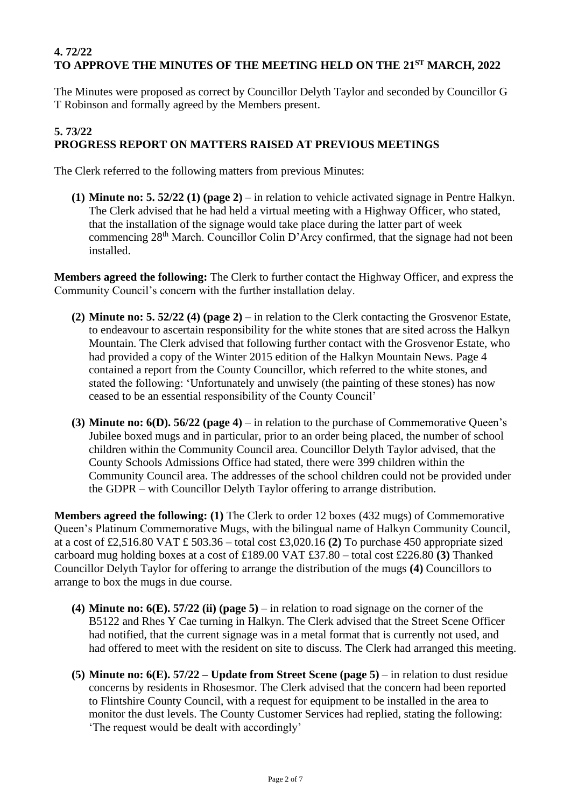# **4. 72/22 TO APPROVE THE MINUTES OF THE MEETING HELD ON THE 21ST MARCH, 2022**

The Minutes were proposed as correct by Councillor Delyth Taylor and seconded by Councillor G T Robinson and formally agreed by the Members present.

#### **5. 73/22 PROGRESS REPORT ON MATTERS RAISED AT PREVIOUS MEETINGS**

The Clerk referred to the following matters from previous Minutes:

**(1) Minute no: 5. 52/22 (1) (page 2)** – in relation to vehicle activated signage in Pentre Halkyn. The Clerk advised that he had held a virtual meeting with a Highway Officer, who stated, that the installation of the signage would take place during the latter part of week commencing 28th March. Councillor Colin D'Arcy confirmed, that the signage had not been installed.

**Members agreed the following:** The Clerk to further contact the Highway Officer, and express the Community Council's concern with the further installation delay.

- **(2) Minute no: 5. 52/22 (4) (page 2)** in relation to the Clerk contacting the Grosvenor Estate, to endeavour to ascertain responsibility for the white stones that are sited across the Halkyn Mountain. The Clerk advised that following further contact with the Grosvenor Estate, who had provided a copy of the Winter 2015 edition of the Halkyn Mountain News. Page 4 contained a report from the County Councillor, which referred to the white stones, and stated the following: 'Unfortunately and unwisely (the painting of these stones) has now ceased to be an essential responsibility of the County Council'
- **(3) Minute no: 6(D). 56/22 (page 4)** in relation to the purchase of Commemorative Queen's Jubilee boxed mugs and in particular, prior to an order being placed, the number of school children within the Community Council area. Councillor Delyth Taylor advised, that the County Schools Admissions Office had stated, there were 399 children within the Community Council area. The addresses of the school children could not be provided under the GDPR – with Councillor Delyth Taylor offering to arrange distribution.

**Members agreed the following: (1)** The Clerk to order 12 boxes (432 mugs) of Commemorative Queen's Platinum Commemorative Mugs, with the bilingual name of Halkyn Community Council, at a cost of £2,516.80 VAT £ 503.36 – total cost £3,020.16 **(2)** To purchase 450 appropriate sized carboard mug holding boxes at a cost of £189.00 VAT £37.80 – total cost £226.80 **(3)** Thanked Councillor Delyth Taylor for offering to arrange the distribution of the mugs **(4)** Councillors to arrange to box the mugs in due course.

- **(4) Minute no: 6(E). 57/22 (ii) (page 5)** in relation to road signage on the corner of the B5122 and Rhes Y Cae turning in Halkyn. The Clerk advised that the Street Scene Officer had notified, that the current signage was in a metal format that is currently not used, and had offered to meet with the resident on site to discuss. The Clerk had arranged this meeting.
- **(5) Minute no: 6(E). 57/22 – Update from Street Scene (page 5)** in relation to dust residue concerns by residents in Rhosesmor. The Clerk advised that the concern had been reported to Flintshire County Council, with a request for equipment to be installed in the area to monitor the dust levels. The County Customer Services had replied, stating the following: 'The request would be dealt with accordingly'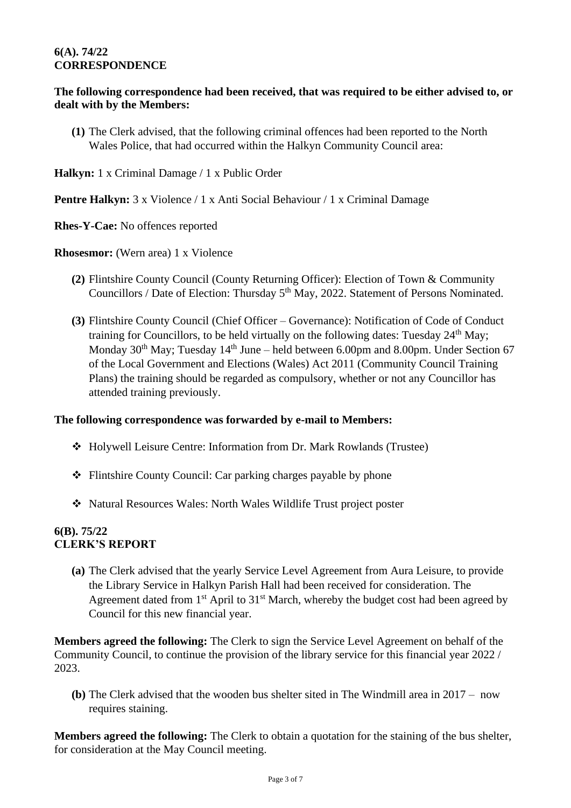#### **6(A). 74/22 CORRESPONDENCE**

#### **The following correspondence had been received, that was required to be either advised to, or dealt with by the Members:**

**(1)** The Clerk advised, that the following criminal offences had been reported to the North Wales Police, that had occurred within the Halkyn Community Council area:

**Halkyn:** 1 x Criminal Damage / 1 x Public Order

**Pentre Halkyn:** 3 x Violence / 1 x Anti Social Behaviour / 1 x Criminal Damage

**Rhes-Y-Cae:** No offences reported

**Rhosesmor:** (Wern area) 1 x Violence

- **(2)** Flintshire County Council (County Returning Officer): Election of Town & Community Councillors / Date of Election: Thursday 5<sup>th</sup> May, 2022. Statement of Persons Nominated.
- **(3)** Flintshire County Council (Chief Officer Governance): Notification of Code of Conduct training for Councillors, to be held virtually on the following dates: Tuesday  $24<sup>th</sup>$  May; Monday  $30<sup>th</sup>$  May; Tuesday  $14<sup>th</sup>$  June – held between 6.00pm and 8.00pm. Under Section 67 of the Local Government and Elections (Wales) Act 2011 (Community Council Training Plans) the training should be regarded as compulsory, whether or not any Councillor has attended training previously.

#### **The following correspondence was forwarded by e-mail to Members:**

- ❖ Holywell Leisure Centre: Information from Dr. Mark Rowlands (Trustee)
- ❖ Flintshire County Council: Car parking charges payable by phone
- ❖ Natural Resources Wales: North Wales Wildlife Trust project poster

#### **6(B). 75/22 CLERK'S REPORT**

**(a)** The Clerk advised that the yearly Service Level Agreement from Aura Leisure, to provide the Library Service in Halkyn Parish Hall had been received for consideration. The Agreement dated from  $1<sup>st</sup>$  April to  $31<sup>st</sup>$  March, whereby the budget cost had been agreed by Council for this new financial year.

**Members agreed the following:** The Clerk to sign the Service Level Agreement on behalf of the Community Council, to continue the provision of the library service for this financial year 2022 / 2023.

**(b)** The Clerk advised that the wooden bus shelter sited in The Windmill area in 2017 – now requires staining.

**Members agreed the following:** The Clerk to obtain a quotation for the staining of the bus shelter, for consideration at the May Council meeting.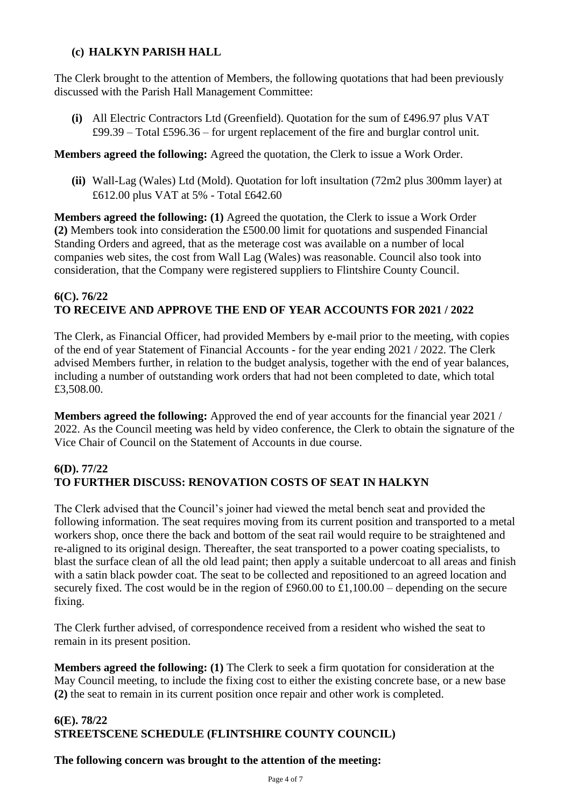# **(c) HALKYN PARISH HALL**

The Clerk brought to the attention of Members, the following quotations that had been previously discussed with the Parish Hall Management Committee:

**(i)** All Electric Contractors Ltd (Greenfield). Quotation for the sum of £496.97 plus VAT £99.39 – Total £596.36 – for urgent replacement of the fire and burglar control unit.

#### **Members agreed the following:** Agreed the quotation, the Clerk to issue a Work Order.

**(ii)** Wall-Lag (Wales) Ltd (Mold). Quotation for loft insultation (72m2 plus 300mm layer) at £612.00 plus VAT at 5% - Total £642.60

**Members agreed the following: (1)** Agreed the quotation, the Clerk to issue a Work Order **(2)** Members took into consideration the £500.00 limit for quotations and suspended Financial Standing Orders and agreed, that as the meterage cost was available on a number of local companies web sites, the cost from Wall Lag (Wales) was reasonable. Council also took into consideration, that the Company were registered suppliers to Flintshire County Council.

#### **6(C). 76/22 TO RECEIVE AND APPROVE THE END OF YEAR ACCOUNTS FOR 2021 / 2022**

The Clerk, as Financial Officer, had provided Members by e-mail prior to the meeting, with copies of the end of year Statement of Financial Accounts - for the year ending 2021 / 2022. The Clerk advised Members further, in relation to the budget analysis, together with the end of year balances, including a number of outstanding work orders that had not been completed to date, which total £3,508.00.

**Members agreed the following:** Approved the end of year accounts for the financial year 2021 / 2022. As the Council meeting was held by video conference, the Clerk to obtain the signature of the Vice Chair of Council on the Statement of Accounts in due course.

#### **6(D). 77/22 TO FURTHER DISCUSS: RENOVATION COSTS OF SEAT IN HALKYN**

The Clerk advised that the Council's joiner had viewed the metal bench seat and provided the following information. The seat requires moving from its current position and transported to a metal workers shop, once there the back and bottom of the seat rail would require to be straightened and re-aligned to its original design. Thereafter, the seat transported to a power coating specialists, to blast the surface clean of all the old lead paint; then apply a suitable undercoat to all areas and finish with a satin black powder coat. The seat to be collected and repositioned to an agreed location and securely fixed. The cost would be in the region of £960.00 to £1,100.00 – depending on the secure fixing.

The Clerk further advised, of correspondence received from a resident who wished the seat to remain in its present position.

**Members agreed the following: (1)** The Clerk to seek a firm quotation for consideration at the May Council meeting, to include the fixing cost to either the existing concrete base, or a new base **(2)** the seat to remain in its current position once repair and other work is completed.

# **6(E). 78/22 STREETSCENE SCHEDULE (FLINTSHIRE COUNTY COUNCIL)**

# **The following concern was brought to the attention of the meeting:**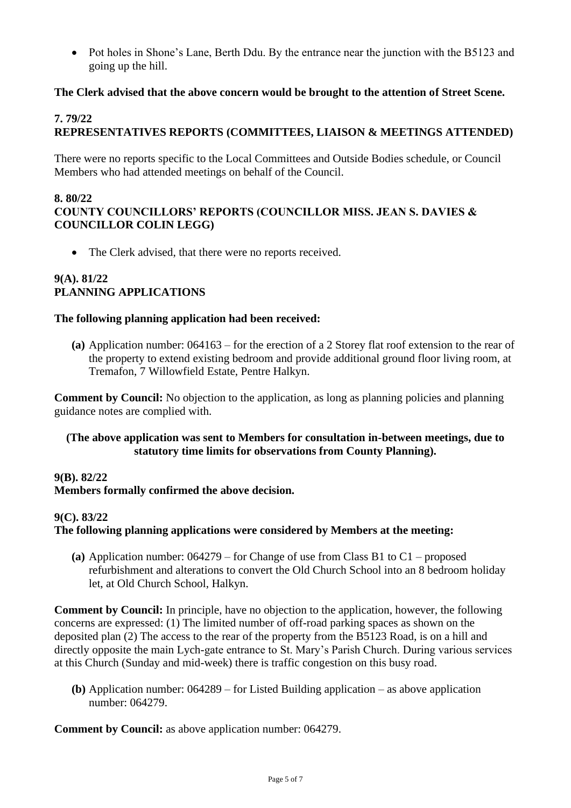• Pot holes in Shone's Lane, Berth Ddu. By the entrance near the junction with the B5123 and going up the hill.

#### **The Clerk advised that the above concern would be brought to the attention of Street Scene.**

#### **7. 79/22**

# **REPRESENTATIVES REPORTS (COMMITTEES, LIAISON & MEETINGS ATTENDED)**

There were no reports specific to the Local Committees and Outside Bodies schedule, or Council Members who had attended meetings on behalf of the Council.

#### **8. 80/22 COUNTY COUNCILLORS' REPORTS (COUNCILLOR MISS. JEAN S. DAVIES & COUNCILLOR COLIN LEGG)**

• The Clerk advised, that there were no reports received.

#### **9(A). 81/22 PLANNING APPLICATIONS**

#### **The following planning application had been received:**

**(a)** Application number: 064163 – for the erection of a 2 Storey flat roof extension to the rear of the property to extend existing bedroom and provide additional ground floor living room, at Tremafon, 7 Willowfield Estate, Pentre Halkyn.

**Comment by Council:** No objection to the application, as long as planning policies and planning guidance notes are complied with.

#### **(The above application was sent to Members for consultation in-between meetings, due to statutory time limits for observations from County Planning).**

#### **9(B). 82/22**

#### **Members formally confirmed the above decision.**

#### **9(C). 83/22**

#### **The following planning applications were considered by Members at the meeting:**

**(a)** Application number: 064279 – for Change of use from Class B1 to C1 – proposed refurbishment and alterations to convert the Old Church School into an 8 bedroom holiday let, at Old Church School, Halkyn.

**Comment by Council:** In principle, have no objection to the application, however, the following concerns are expressed: (1) The limited number of off-road parking spaces as shown on the deposited plan (2) The access to the rear of the property from the B5123 Road, is on a hill and directly opposite the main Lych-gate entrance to St. Mary's Parish Church. During various services at this Church (Sunday and mid-week) there is traffic congestion on this busy road.

**(b)** Application number: 064289 – for Listed Building application – as above application number: 064279.

**Comment by Council:** as above application number: 064279.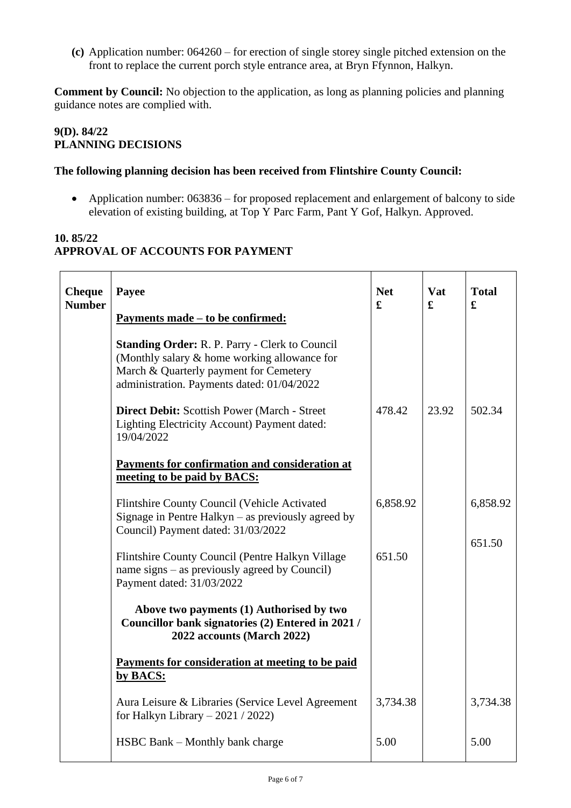**(c)** Application number: 064260 – for erection of single storey single pitched extension on the front to replace the current porch style entrance area, at Bryn Ffynnon, Halkyn.

**Comment by Council:** No objection to the application, as long as planning policies and planning guidance notes are complied with.

#### **9(D). 84/22 PLANNING DECISIONS**

#### **The following planning decision has been received from Flintshire County Council:**

• Application number: 063836 – for proposed replacement and enlargement of balcony to side elevation of existing building, at Top Y Parc Farm, Pant Y Gof, Halkyn. Approved.

# **10. 85/22 APPROVAL OF ACCOUNTS FOR PAYMENT**

| <b>Cheque</b><br><b>Number</b> | Payee                                                                                                                                                                                         | <b>Net</b><br>£ | <b>Vat</b><br>£ | <b>Total</b><br>£  |
|--------------------------------|-----------------------------------------------------------------------------------------------------------------------------------------------------------------------------------------------|-----------------|-----------------|--------------------|
|                                | <u>Payments made – to be confirmed:</u>                                                                                                                                                       |                 |                 |                    |
|                                | <b>Standing Order: R. P. Parry - Clerk to Council</b><br>(Monthly salary & home working allowance for<br>March & Quarterly payment for Cemetery<br>administration. Payments dated: 01/04/2022 |                 |                 |                    |
|                                | Direct Debit: Scottish Power (March - Street<br>Lighting Electricity Account) Payment dated:<br>19/04/2022                                                                                    | 478.42          | 23.92           | 502.34             |
|                                | Payments for confirmation and consideration at<br>meeting to be paid by BACS:                                                                                                                 |                 |                 |                    |
|                                | Flintshire County Council (Vehicle Activated<br>Signage in Pentre Halkyn $-$ as previously agreed by<br>Council) Payment dated: 31/03/2022                                                    | 6,858.92        |                 | 6,858.92<br>651.50 |
|                                | Flintshire County Council (Pentre Halkyn Village<br>name signs – as previously agreed by Council)<br>Payment dated: 31/03/2022                                                                | 651.50          |                 |                    |
|                                | Above two payments (1) Authorised by two<br>Councillor bank signatories (2) Entered in 2021 /<br>2022 accounts (March 2022)                                                                   |                 |                 |                    |
|                                | Payments for consideration at meeting to be paid<br>by BACS:                                                                                                                                  |                 |                 |                    |
|                                | Aura Leisure & Libraries (Service Level Agreement<br>for Halkyn Library $-2021/2022$                                                                                                          | 3,734.38        |                 | 3,734.38           |
|                                | HSBC Bank - Monthly bank charge                                                                                                                                                               | 5.00            |                 | 5.00               |